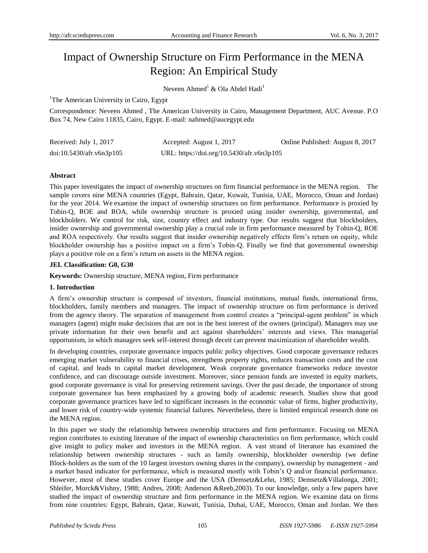# Impact of Ownership Structure on Firm Performance in the MENA Region: An Empirical Study

Neveen Ahmed<sup>1</sup> & Ola Abdel Hadi<sup>1</sup>

<sup>1</sup>The American University in Cairo, Egypt

Correspondence: Neveen Ahmed , The American University in Cairo, Management Department, AUC Avenue. P.O Box 74, New Cairo 11835, Cairo, Egypt. E-mail: nahmed@aucegypt.edu

| Received: July 1, 2017   | Accepted: August 1, 2017                  | Online Published: August 8, 2017 |
|--------------------------|-------------------------------------------|----------------------------------|
| doi:10.5430/afr.v6n3p105 | URL: https://doi.org/10.5430/afr.v6n3p105 |                                  |

# **Abstract**

This paper investigates the impact of ownership structures on firm financial performance in the MENA region. The sample covers nine MENA countries (Egypt, Bahrain, Qatar, Kuwait, Tunisia, UAE, Morocco, Oman and Jordan) for the year 2014. We examine the impact of ownership structures on firm performance. Performance is proxied by Tobin-Q, ROE and ROA, while ownership structure is proxied using insider ownership, governmental, and blockholders. We control for risk, size, country effect and industry type. Our results suggest that blockholders, insider ownership and governmental ownership play a crucial role in firm performance measured by Tobin-Q, ROE and ROA respectively. Our results suggest that insider ownership negatively effects firm's return on equity, while blockholder ownership has a positive impact on a firm's Tobin-Q. Finally we find that governmental ownership plays a positive role on a firm's return on assets in the MENA region.

# **JEL Classification: G0, G30**

**Keywords:** Ownership structure, MENA region, Firm performance

# **1. Introduction**

A firm's ownership structure is composed of investors, financial institutions, mutual funds, international firms, blockholders, family members and managers. The impact of ownership structure on firm performance is derived from the agency theory. The separation of management from control creates a "principal-agent problem" in which managers (agent) might make decisions that are not in the best interest of the owners (principal). Managers may use private information for their own benefit and act against shareholders' interests and views. This managerial opportunism, in which managers seek self-interest through deceit can prevent maximization of shareholder wealth.

In developing countries, corporate governance impacts public policy objectives. Good corporate governance reduces emerging market vulnerability to financial crises, strengthens property rights, reduces transaction costs and the cost of capital, and leads to capital market development. Weak corporate governance frameworks reduce investor confidence, and can discourage outside investment. Moreover, since pension funds are invested in equity markets, good corporate governance is vital for preserving retirement savings. Over the past decade, the importance of strong corporate governance has been emphasized by a growing body of academic research. Studies show that good corporate governance practices have led to significant increases in the economic value of firms, higher productivity, and lower risk of country-wide systemic financial failures. Nevertheless, there is limited empirical research done on the MENA region.

In this paper we study the relationship between ownership structures and firm performance. Focusing on MENA region contributes to existing literature of the impact of ownership characteristics on firm performance, which could give insight to policy maker and investors in the MENA region. A vast strand of literature has examined the relationship between ownership structures - such as family ownership, blockholder ownership (we define Block-holders as the sum of the 10 largest investors owning shares in the company), ownership by management - and a market based indicator for performance, which is measured mostly with Tobin's Q and/or financial performance. However, most of these studies cover Europe and the USA (Demsetz&Lehn, 1985; Demsetz&Villalonga, 2001; Shleifer, Morck&Vishny, 1988; Andres, 2008; Anderson &Reeb,2003). To our knowledge, only a few papers have studied the impact of ownership structure and firm performance in the MENA region. We examine data on firms from nine countries: Egypt, Bahrain, Qatar, Kuwait, Tunisia, Dubai, UAE, Morocco, Oman and Jordan. We then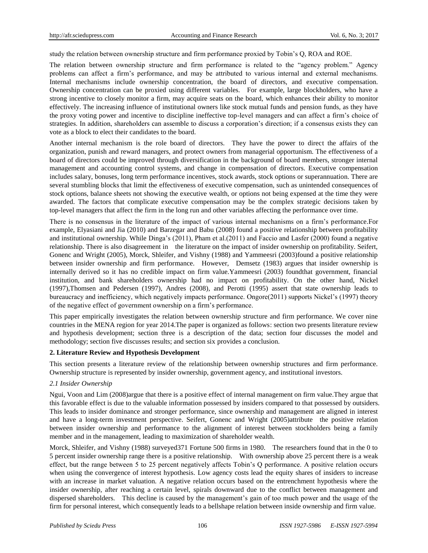study the relation between ownership structure and firm performance proxied by Tobin's Q, ROA and ROE.

The relation between ownership structure and firm performance is related to the "agency problem." Agency problems can affect a firm's performance, and may be attributed to various internal and external mechanisms. Internal mechanisms include ownership concentration, the board of directors, and executive compensation. Ownership concentration can be proxied using different variables. For example, large blockholders, who have a strong incentive to closely monitor a firm, may acquire seats on the board, which enhances their ability to monitor effectively. The increasing influence of institutional owners like stock mutual funds and pension funds, as they have the proxy voting power and incentive to discipline ineffective top-level managers and can affect a firm's choice of strategies. In addition, shareholders can assemble to discuss a corporation's direction; if a consensus exists they can vote as a block to elect their candidates to the board.

Another internal mechanism is the role board of directors. They have the power to direct the affairs of the organization, punish and reward managers, and protect owners from managerial opportunism. The effectiveness of a board of directors could be improved through diversification in the background of board members, stronger internal management and accounting control systems, and change in compensation of directors. Executive compensation includes salary, bonuses, long term performance incentives, stock awards, stock options or superannuation. There are several stumbling blocks that limit the effectiveness of executive compensation, such as unintended consequences of stock options, balance sheets not showing the executive wealth, or options not being expensed at the time they were awarded. The factors that complicate executive compensation may be the complex strategic decisions taken by top-level managers that affect the firm in the long run and other variables affecting the performance over time.

There is no consensus in the literature of the impact of various internal mechanisms on a firm's performance.For example, Elyasiani and Jia (2010) and Barzegar and Babu (2008) found a positive relationship between profitability and institutional ownership. While Dinga's (2011), Pham et al.(2011) and Faccio and Lasfer (2000) found a negative relationship. There is also disagreement in the literature on the impact of insider ownership on profitability. Seifert, Gonenc and Wright (2005), Morck, Shleifer, and Vishny (1988) and Yammeesri (2003)found a positive relationship between insider ownership and firm performance. However, Demsetz (1983) argues that insider ownership is internally derived so it has no credible impact on firm value.Yammeesri (2003) foundthat government, financial institution, and bank shareholders ownership had no impact on profitability. On the other hand, Nickel (1997),Thomsen and Pedersen (1997), Andres (2008), and Perotti (1995) assert that state ownership leads to bureaucracy and inefficiency, which negatively impacts performance. Ongore(2011) supports Nickel's (1997) theory of the negative effect of government ownership on a firm's performance.

This paper empirically investigates the relation between ownership structure and firm performance. We cover nine countries in the MENA region for year 2014.The paper is organized as follows: section two presents literature review and hypothesis development; section three is a description of the data; section four discusses the model and methodology; section five discusses results; and section six provides a conclusion.

## **2. Literature Review and Hypothesis Development**

This section presents a literature review of the relationship between ownership structures and firm performance. Ownership structure is represented by insider ownership, government agency, and institutional investors.

# *2.1 Insider Ownership*

Ngui, Voon and Lim (2008)argue that there is a positive effect of internal management on firm value.They argue that this favorable effect is due to the valuable information possessed by insiders compared to that possessed by outsiders. This leads to insider dominance and stronger performance, since ownership and management are aligned in interest and have a long-term investment perspective. Seifert, Gonenc and Wright (2005)attribute the positive relation between insider ownership and performance to the alignment of interest between stockholders being a family member and in the management, leading to maximization of shareholder wealth.

Morck, Shleifer, and Vishny (1988) surveyed371 Fortune 500 firms in 1980. The researchers found that in the 0 to 5 percent insider ownership range there is a positive relationship. With ownership above 25 percent there is a weak effect, but the range between 5 to 25 percent negatively affects Tobin's Q performance. A positive relation occurs when using the convergence of interest hypothesis. Low agency costs lead the equity shares of insiders to increase with an increase in market valuation. A negative relation occurs based on the entrenchment hypothesis where the insider ownership, after reaching a certain level, spirals downward due to the conflict between management and dispersed shareholders. This decline is caused by the management's gain of too much power and the usage of the firm for personal interest, which consequently leads to a bellshape relation between inside ownership and firm value.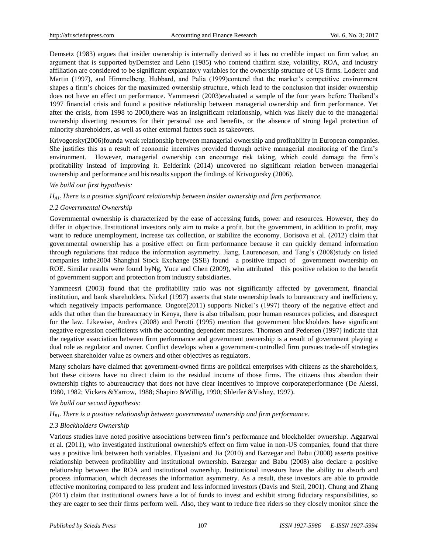Demsetz (1983) argues that insider ownership is internally derived so it has no credible impact on firm value; an argument that is supported byDemstez and Lehn (1985) who contend thatfirm size, volatility, ROA, and industry affiliation are considered to be significant explanatory variables for the ownership structure of US firms. Loderer and Martin (1997), and Himmelberg, Hubbard, and Palia (1999)contend that the market's competitive environment shapes a firm's choices for the maximized ownership structure, which lead to the conclusion that insider ownership does not have an effect on performance. Yammeesri (2003)evaluated a sample of the four years before Thailand's 1997 financial crisis and found a positive relationship between managerial ownership and firm performance. Yet after the crisis, from 1998 to 2000, there was an insignificant relationship, which was likely due to the managerial ownership diverting resources for their personal use and benefits, or the absence of strong legal protection of minority shareholders, as well as other external factors such as takeovers.

Krivogorsky(2006)founda weak relationship between managerial ownership and profitability in European companies. She justifies this as a result of economic incentives provided through active managerial monitoring of the firm's environment. However, managerial ownership can encourage risk taking, which could damage the firm's profitability instead of improving it. Eelderink (2014) uncovered no significant relation between managerial ownership and performance and his results support the findings of Krivogorsky (2006).

## *We build our first hypothesis:*

## *HA1: There is a positive significant relationship between insider ownership and firm performance.*

## *2.2 Governmental Ownership*

Governmental ownership is characterized by the ease of accessing funds, power and resources. However, they do differ in objective. Institutional investors only aim to make a profit, but the government, in addition to profit, may want to reduce unemployment, increase tax collection, or stabilize the economy. Borisova et al. (2012) claim that governmental ownership has a positive effect on firm performance because it can quickly demand information through regulations that reduce the information asymmetry. Jiang, Laurenceson, and Tang's (2008)study on listed companies inthe2004 Shanghai Stock Exchange (SSE) found a positive impact of government ownership on ROE. Similar results were found byNg, Yuce and Chen (2009), who attributed this positive relation to the benefit of government support and protection from industry subsidiaries.

Yammeesri (2003) found that the profitability ratio was not significantly affected by government, financial institution, and bank shareholders. Nickel (1997) asserts that state ownership leads to bureaucracy and inefficiency, which negatively impacts performance. Ongore(2011) supports Nickel's (1997) theory of the negative effect and adds that other than the bureaucracy in Kenya, there is also tribalism, poor human resources policies, and disrespect for the law. Likewise, Andres (2008) and Perotti (1995) mention that government blockholders have significant negative regression coefficients with the accounting dependent measures. Thomsen and Pedersen (1997) indicate that the negative association between firm performance and government ownership is a result of government playing a dual role as regulator and owner. Conflict develops when a government-controlled firm pursues trade-off strategies between shareholder value as owners and other objectives as regulators.

Many scholars have claimed that government-owned firms are political enterprises with citizens as the shareholders, but these citizens have no direct claim to the residual income of those firms. The citizens thus abandon their ownership rights to abureaucracy that does not have clear incentives to improve corporateperformance (De Alessi, 1980, 1982; Vickers &Yarrow, 1988; Shapiro &Willig, 1990; Shleifer &Vishny, 1997).

## *We build our second hypothesis:*

## *HB1: There is a positive relationship between governmental ownership and firm performance.*

# *2.3 Blockholders Ownership*

Various studies have noted positive associations between firm's performance and blockholder ownership. Aggarwal et al. (2011), who investigated institutional ownership's effect on firm value in non-US companies, found that there was a positive link between both variables. Elyasiani and Jia (2010) and Barzegar and Babu (2008) asserta positive relationship between profitability and institutional ownership. Barzegar and Babu (2008) also declare a positive relationship between the ROA and institutional ownership. Institutional investors have the ability to absorb and process information, which decreases the information asymmetry. As a result, these investors are able to provide effective monitoring compared to less prudent and less informed investors (Davis and Steil, 2001). Chung and Zhang (2011) claim that institutional owners have a lot of funds to invest and exhibit strong fiduciary responsibilities, so they are eager to see their firms perform well. Also, they want to reduce free riders so they closely monitor since the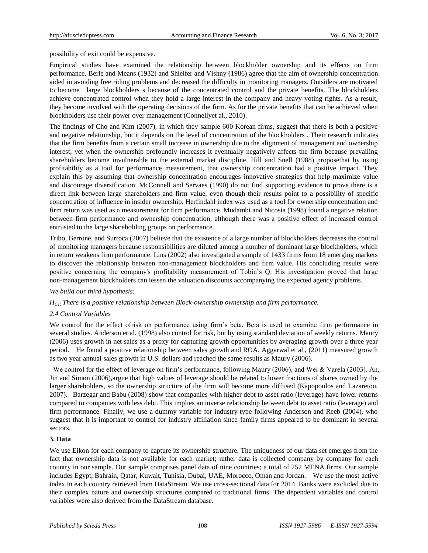possibility of exit could be expensive.

Empirical studies have examined the relationship between blockholder ownership and its effects on firm performance. Berle and Means (1932) and Shleifer and Vishny (1986) agree that the aim of ownership concentration aided in avoiding free riding problems and decreased the difficulty in monitoring managers. Outsiders are motivated to become large blockholders s because of the concentrated control and the private benefits. The blockholders achieve concentrated control when they hold a large interest in the company and heavy voting rights. As a result, they become involved with the operating decisions of the firm. As for the private benefits that can be achieved when blockholders use their power over management (Connellyet al., 2010).

The findings of Cho and Kim (2007), in which they sample 600 Korean firms, suggest that there is both a positive and negative relationship, but it depends on the level of concentration of the blockholders . Their research indicates that the firm benefits from a certain small increase in ownership due to the alignment of management and ownership interest; yet when the ownership profoundly increases it eventually negatively affects the firm because prevailing shareholders become invulnerable to the external market discipline. Hill and Snell (1988) proposethat by using profitability as a tool for performance measurement, that ownership concentration had a positive impact. They explain this by assuming that ownership concentration encourages innovative strategies that help maximize value and discourage diversification. McConnell and Servaes (1990) do not find supporting evidence to prove there is a direct link between large shareholders and firm value, even though their results point to a possibility of specific concentration of influence in insider ownership. Herfindahl index was used as a tool for ownership concentration and firm return was used as a measurement for firm performance. Mudambi and Nicosia (1998) found a negative relation between firm performance and ownership concentration, although there was a positive effect of increased control entrusted to the large shareholding groups on performance.

Tribo, Berrone, and Surroca (2007) believe that the existence of a large number of blockholders decreases the control of monitoring managers because responsibilities are diluted among a number of dominant large blockholders, which in return weakens firm performance. Lins (2002) also investigated a sample of 1433 firms from 18 emerging markets to discover the relationship between non-management blockholders and firm value. His concluding results were positive concerning the company's profitability measurement of Tobin's Q. His investigation proved that large non-management blockholders can lessen the valuation discounts accompanying the expected agency problems.

# *We build our third hypothesis:*

*HC1: There is a positive relationship between Block-ownership ownership and firm performance.*

# *2.4 Control Variables*

We control for the effect ofrisk on performance using firm's beta. Beta is used to examine firm performance in several studies. Anderson et al. (1998) also control for risk, but by using standard deviation of weekly returns. Maury (2006) uses growth in net sales as a proxy for capturing growth opportunities by averaging growth over a three year period. He found a positive relationship between sales growth and ROA. Aggarwal et al., (2011) measured growth as two year annual sales growth in U.S. dollars and reached the same results as Maury (2006).

We control for the effect of leverage on firm's performance, following Maury (2006), and Wei & Varela (2003). An, Jin and Simon (2006),argue that high values of leverage should be related to lower fractions of shares owned by the larger shareholders, so the ownership structure of the firm will become more diffused (Kapopoulos and Lazaretou, 2007). Barzegar and Babu (2008) show that companies with higher debt to asset ratio (leverage) have lower returns compared to companies with less debt. This implies an inverse relationship between debt to asset ratio (leverage) and firm performance. Finally, we use a dummy variable for industry type following Anderson and Reeb (2004), who suggest that it is important to control for industry affiliation since family firms appeared to be dominant in several sectors.

## **3. Data**

We use Eikon for each company to capture its ownership structure. The uniqueness of our data set emerges from the fact that ownership data is not available for each market; rather data is collected company by company for each country in our sample. Our sample comprises panel data of nine countries; a total of 252 MENA firms. Our sample includes Egypt, Bahrain, Qatar, Kuwait, Tunisia, Dubai, UAE, Morocco, Oman and Jordan. We use the most active index in each country retrieved from DataStream. We use cross-sectional data for 2014. Banks were excluded due to their complex nature and ownership structures compared to traditional firms. The dependent variables and control variables were also derived from the DataStream database.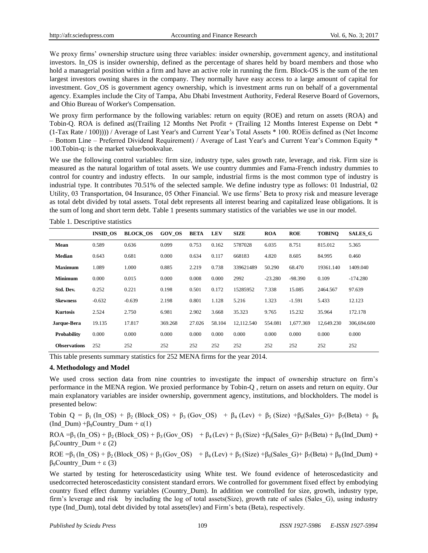We proxy firms' ownership structure using three variables: insider ownership, government agency, and institutional investors. In OS is insider ownership, defined as the percentage of shares held by board members and those who hold a managerial position within a firm and have an active role in running the firm. Block-OS is the sum of the ten largest investors owning shares in the company. They normally have easy access to a large amount of capital for investment. Gov OS is government agency ownership, which is investment arms run on behalf of a governmental agency. Examples include the City of Tampa, Abu Dhabi Investment Authority, Federal Reserve Board of Governors, and Ohio Bureau of Worker's Compensation.

We proxy firm performance by the following variables: return on equity (ROE) and return on assets (ROA) and Tobin-Q. ROA is defined as((Trailing 12 Months Net Profit + (Trailing 12 Months Interest Expense on Debt \* (1-Tax Rate / 100)))) / Average of Last Year's and Current Year's Total Assets \* 100. ROEis defined as (Net Income – Bottom Line – Preferred Dividend Requirement) / Average of Last Year's and Current Year's Common Equity \* 100.Tobin-q: is the market value/bookvalue.

We use the following control variables: firm size, industry type, sales growth rate, leverage, and risk. Firm size is measured as the natural logarithm of total assets. We use country dummies and Fama-French industry dummies to control for country and industry effects. In our sample, industrial firms is the most common type of industry is industrial type. It contributes 70.51% of the selected sample. We define industry type as follows: 01 Industrial, 02 Utility, 03 Transportation, 04 Insurance, 05 Other Financial. We use firms' Beta to proxy risk and measure leverage as total debt divided by total assets. Total debt represents all interest bearing and capitalized lease obligations. It is the sum of long and short term debt. Table 1 presents summary statistics of the variables we use in our model.

|                     | <b>INSID OS</b> | <b>BLOCK OS</b> | GOV OS  | <b>BETA</b> | <b>LEV</b> | <b>SIZE</b> | <b>ROA</b> | <b>ROE</b> | <b>TOBINO</b> | <b>SALES G</b> |
|---------------------|-----------------|-----------------|---------|-------------|------------|-------------|------------|------------|---------------|----------------|
| Mean                | 0.589           | 0.636           | 0.099   | 0.753       | 0.162      | 5787028     | 6.035      | 8.751      | 815.012       | 5.365          |
| <b>Median</b>       | 0.643           | 0.681           | 0.000   | 0.634       | 0.117      | 668183      | 4.820      | 8.605      | 84.995        | 0.460          |
| <b>Maximum</b>      | 1.089           | 1.000           | 0.885   | 2.219       | 0.738      | 339621489   | 50.290     | 68.470     | 19361.140     | 1409.040       |
| <b>Minimum</b>      | 0.000           | 0.015           | 0.000   | 0.008       | 0.000      | 2992        | $-23.280$  | $-98.390$  | 0.109         | $-174.280$     |
| Std. Dev.           | 0.252           | 0.221           | 0.198   | 0.501       | 0.172      | 15285952    | 7.338      | 15.085     | 2464.567      | 97.639         |
| <b>Skewness</b>     | $-0.632$        | $-0.639$        | 2.198   | 0.801       | 1.128      | 5.216       | 1.323      | $-1.591$   | 5.433         | 12.123         |
| <b>Kurtosis</b>     | 2.524           | 2.750           | 6.981   | 2.902       | 3.668      | 35.323      | 9.765      | 15.232     | 35.964        | 172.178        |
| Jarque-Bera         | 19.135          | 17.817          | 369.268 | 27.026      | 58.104     | 12,112.540  | 554.081    | 1,677.369  | 12.649.230    | 306,694.600    |
| <b>Probability</b>  | 0.000           | 0.000           | 0.000   | 0.000       | 0.000      | 0.000       | 0.000      | 0.000      | 0.000         | 0.000          |
| <b>Observations</b> | 252             | 252             | 252     | 252         | 252        | 252         | 252        | 252        | 252           | 252            |

Table 1. Descriptive statistics

This table presents summary statistics for 252 MENA firms for the year 2014.

## **4. Methodology and Model**

We used cross section data from nine countries to investigate the impact of ownership structure on firm's performance in the MENA region. We proxied performance by Tobin-Q , return on assets and return on equity. Our main explanatory variables are insider ownership, government agency, institutions, and blockholders. The model is presented below:

Tobin  $Q = \beta_1$  (In OS) +  $\beta_2$  (Block OS) +  $\beta_3$  (Gov OS) +  $\beta_4$  (Lev) +  $\beta_5$  (Size) + $\beta_6$ (Sales G)+  $\beta_7$ (Beta) +  $\beta_8$ (Ind Dum) + $\beta_9$ Country Dum +  $\varepsilon(1)$ 

 $ROA = \beta_1 (In OS) + \beta_2 (Block OS) + \beta_3 (Gov OS)$  +  $\beta_4 (Lev) + \beta_5 (Size) + \beta_6 (Sales G) + \beta_7 (Beta) + \beta_8 (Ind_Dum) +$ β<sub>9</sub>Country\_Dum + ε (2)

 $ROE = \beta_1 (In OS) + \beta_2 (Block OS) + \beta_3 (Gov OS) + \beta_4 (Lev) + \beta_5 (Size) + \beta_6 (Sales G) + \beta_7 (Beta) + \beta_8 (Ind\_Dum) +$  $β<sub>9</sub>Country Dum + ε (3)$ 

We started by testing for heteroscedasticity using White test. We found evidence of heteroscedasticity and usedcorrected heteroscedasticity consistent standard errors. We controlled for government fixed effect by embodying country fixed effect dummy variables (Country\_Dum). In addition we controlled for size, growth, industry type, firm's leverage and risk by including the log of total assets(Size), growth rate of sales (Sales\_G), using industry type (Ind\_Dum), total debt divided by total assets(lev) and Firm's beta (Beta), respectively.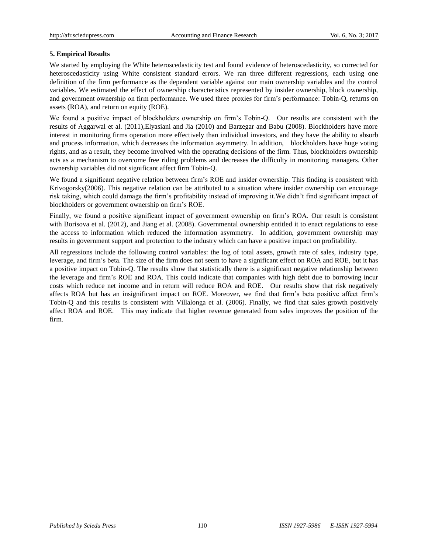## **5. Empirical Results**

We started by employing the White heteroscedasticity test and found evidence of heteroscedasticity, so corrected for heteroscedasticity using White consistent standard errors. We ran three different regressions, each using one definition of the firm performance as the dependent variable against our main ownership variables and the control variables. We estimated the effect of ownership characteristics represented by insider ownership, block ownership, and government ownership on firm performance. We used three proxies for firm's performance: Tobin-Q, returns on assets (ROA), and return on equity (ROE).

We found a positive impact of blockholders ownership on firm's Tobin-Q. Our results are consistent with the results of Aggarwal et al. (2011),Elyasiani and Jia (2010) and Barzegar and Babu (2008). Blockholders have more interest in monitoring firms operation more effectively than individual investors, and they have the ability to absorb and process information, which decreases the information asymmetry. In addition, blockholders have huge voting rights, and as a result, they become involved with the operating decisions of the firm. Thus, blockholders ownership acts as a mechanism to overcome free riding problems and decreases the difficulty in monitoring managers. Other ownership variables did not significant affect firm Tobin-Q.

We found a significant negative relation between firm's ROE and insider ownership. This finding is consistent with Krivogorsky(2006). This negative relation can be attributed to a situation where insider ownership can encourage risk taking, which could damage the firm's profitability instead of improving it.We didn't find significant impact of blockholders or government ownership on firm's ROE.

Finally, we found a positive significant impact of government ownership on firm's ROA. Our result is consistent with Borisova et al. (2012), and Jiang et al. (2008). Governmental ownership entitled it to enact regulations to ease the access to information which reduced the information asymmetry. In addition, government ownership may results in government support and protection to the industry which can have a positive impact on profitability.

All regressions include the following control variables: the log of total assets, growth rate of sales, industry type, leverage, and firm's beta. The size of the firm does not seem to have a significant effect on ROA and ROE, but it has a positive impact on Tobin-Q. The results show that statistically there is a significant negative relationship between the leverage and firm's ROE and ROA. This could indicate that companies with high debt due to borrowing incur costs which reduce net income and in return will reduce ROA and ROE. Our results show that risk negatively affects ROA but has an insignificant impact on ROE. Moreover, we find that firm's beta positive affect firm's Tobin-Q and this results is consistent with Villalonga et al. (2006). Finally, we find that sales growth positively affect ROA and ROE. This may indicate that higher revenue generated from sales improves the position of the firm.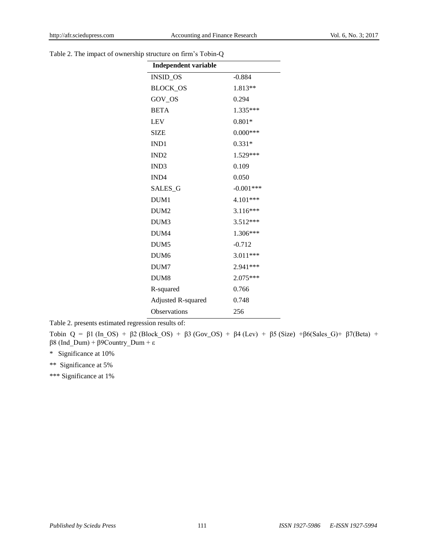| <b>Independent variable</b> |             |
|-----------------------------|-------------|
| <b>INSID_OS</b>             | $-0.884$    |
| <b>BLOCK_OS</b>             | 1.813**     |
| GOV_OS                      | 0.294       |
| <b>BETA</b>                 | $1.335***$  |
| <b>LEV</b>                  | $0.801*$    |
| <b>SIZE</b>                 | $0.000***$  |
| IND1                        | $0.331*$    |
| IND <sub>2</sub>            | 1.529***    |
| IND3                        | 0.109       |
| IND <sub>4</sub>            | 0.050       |
| SALES_G                     | $-0.001***$ |
| DUM1                        | $4.101***$  |
| DUM <sub>2</sub>            | 3.116***    |
| DUM <sub>3</sub>            | 3.512***    |
| DUM <sub>4</sub>            | 1.306***    |
| DUM <sub>5</sub>            | $-0.712$    |
| DUM <sub>6</sub>            | 3.011***    |
| DUM7                        | 2.941***    |
| DUM <sub>8</sub>            | $2.075***$  |
| R-squared                   | 0.766       |
| Adjusted R-squared          | 0.748       |
| Observations                | 256         |

| Table 2. The impact of ownership structure on firm's Tobin-Q |  |  |  |  |  |
|--------------------------------------------------------------|--|--|--|--|--|
|--------------------------------------------------------------|--|--|--|--|--|

Table 2. presents estimated regression results of:

Tobin  $Q = \beta 1$  (In\_OS) +  $\beta 2$  (Block\_OS) +  $\beta 3$  (Gov\_OS) +  $\beta 4$  (Lev) +  $\beta 5$  (Size) + $\beta 6$ (Sales\_G)+  $\beta 7$ (Beta) + β8 (Ind\_Dum) + β9Country\_Dum + ε

\* Significance at 10%

\*\* Significance at 5%

\*\*\* Significance at 1%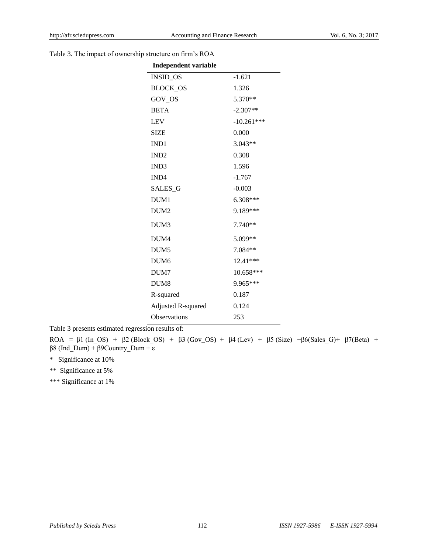| Independent variable |              |
|----------------------|--------------|
| <b>INSID OS</b>      | $-1.621$     |
| <b>BLOCK_OS</b>      | 1.326        |
| GOV_OS               | 5.370**      |
| <b>BETA</b>          | $-2.307**$   |
| <b>LEV</b>           | $-10.261***$ |
| <b>SIZE</b>          | 0.000        |
| <b>IND1</b>          | $3.043**$    |
|                      |              |
| IND <sub>2</sub>     | 0.308        |
| IND <sub>3</sub>     | 1.596        |
| IND <sub>4</sub>     | $-1.767$     |
| SALES_G              | $-0.003$     |
| DUM <sub>1</sub>     | $6.308***$   |
| DUM <sub>2</sub>     | 9.189***     |
| DUM <sub>3</sub>     | 7.740**      |
| DUM <sub>4</sub>     | 5.099**      |
| DUM <sub>5</sub>     | 7.084**      |
| DUM <sub>6</sub>     | 12.41***     |
| DUM7                 | 10.658***    |
| DUM <sub>8</sub>     | 9.965***     |
| R-squared            | 0.187        |
| Adjusted R-squared   | 0.124        |
| Observations         | 253          |

Table 3. The impact of ownership structure on firm's ROA

Table 3 presents estimated regression results of:

ROA = β1 (In\_OS) + β2 (Block\_OS) + β3 (Gov\_OS) + β4 (Lev) + β5 (Size) +β6(Sales\_G)+ β7(Beta) + β8 (Ind\_Dum) + β9Country\_Dum + ε

- \* Significance at 10%
- \*\* Significance at 5%
- \*\*\* Significance at 1%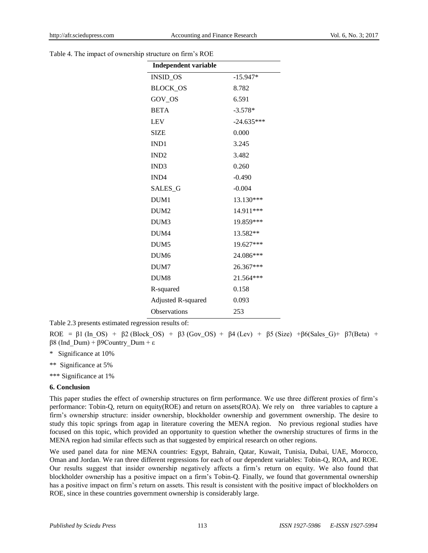| <b>Independent variable</b> |              |
|-----------------------------|--------------|
| <b>INSID OS</b>             | $-15.947*$   |
| <b>BLOCK_OS</b>             | 8.782        |
| GOV_OS                      | 6.591        |
| <b>BETA</b>                 | $-3.578*$    |
| <b>LEV</b>                  | $-24.635***$ |
| <b>SIZE</b>                 | 0.000        |
| <b>IND1</b>                 | 3.245        |
| IND <sub>2</sub>            | 3.482        |
| IND <sub>3</sub>            | 0.260        |
| IND <sub>4</sub>            | $-0.490$     |
| SALES_G                     | $-0.004$     |
| DUM <sub>1</sub>            | 13.130***    |
| DUM <sub>2</sub>            | 14.911***    |
| DUM <sub>3</sub>            | 19.859***    |
| DUM <sub>4</sub>            | 13.582**     |
| DUM <sub>5</sub>            | 19.627***    |
| DUM <sub>6</sub>            | 24.086***    |
| DUM7                        | 26.367***    |
| DUM <sub>8</sub>            | 21.564***    |
| R-squared                   | 0.158        |
| Adjusted R-squared          | 0.093        |
| Observations                | 253          |

Table 4. The impact of ownership structure on firm's ROE

Table 2.3 presents estimated regression results of:

ROE =  $\beta$ 1 (In OS) +  $\beta$ 2 (Block OS) +  $\beta$ 3 (Gov\_OS) +  $\beta$ 4 (Lev) +  $\beta$ 5 (Size) + $\beta$ 6(Sales G)+  $\beta$ 7(Beta) + β8 (Ind\_Dum) + β9Country\_Dum + ε

Significance at 10%

\*\* Significance at 5%

\*\*\* Significance at 1%

## **6. Conclusion**

This paper studies the effect of ownership structures on firm performance. We use three different proxies of firm's performance: Tobin-Q, return on equity(ROE) and return on assets(ROA). We rely on three variables to capture a firm's ownership structure: insider ownership, blockholder ownership and government ownership. The desire to study this topic springs from agap in literature covering the MENA region. No previous regional studies have focused on this topic, which provided an opportunity to question whether the ownership structures of firms in the MENA region had similar effects such as that suggested by empirical research on other regions.

We used panel data for nine MENA countries: Egypt, Bahrain, Qatar, Kuwait, Tunisia, Dubai, UAE, Morocco, Oman and Jordan. We ran three different regressions for each of our dependent variables: Tobin-Q, ROA, and ROE. Our results suggest that insider ownership negatively affects a firm's return on equity. We also found that blockholder ownership has a positive impact on a firm's Tobin-Q. Finally, we found that governmental ownership has a positive impact on firm's return on assets. This result is consistent with the positive impact of blockholders on ROE, since in these countries government ownership is considerably large.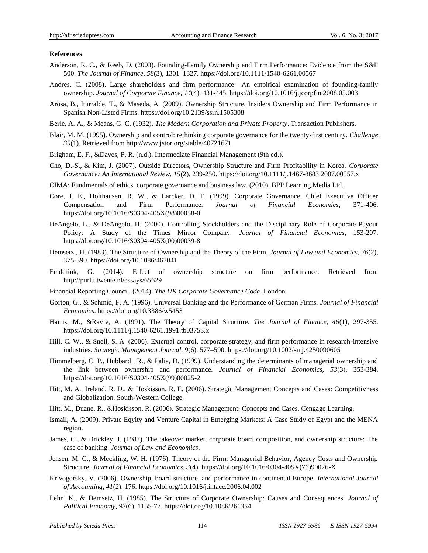#### **References**

- Anderson, R. C., & Reeb, D. (2003). Founding-Family Ownership and Firm Performance: Evidence from the S&P 500. *The Journal of Finance, 58*(3), 1301–1327. <https://doi.org/10.1111/1540-6261.00567>
- Andres, C. (2008). Large shareholders and firm performance—An empirical examination of founding-family ownership. *Journal of Corporate Finance, 14*(4), 431-445. <https://doi.org/10.1016/j.jcorpfin.2008.05.003>
- Arosa, B., Iturralde, T., & Maseda, A. (2009). Ownership Structure, Insiders Ownership and Firm Performance in Spanish Non-Listed Firms.<https://doi.org/10.2139/ssrn.1505308>
- Berle, A. A., & Means, G. C. (1932). *The Modern Corporation and Private Property*. Transaction Publishers.
- Blair, M. M. (1995). Ownership and control: rethinking corporate governance for the twenty-first century. *Challenge, 39*(1). Retrieved from http://www.jstor.org/stable/40721671
- Brigham, E. F., &Daves, P. R. (n.d.). Intermediate Financial Management (9th ed.).
- Cho, D.-S., & Kim, J. (2007). Outside Directors, Ownership Structure and Firm Profitability in Korea. *Corporate Governance: An International Review, 15*(2), 239-250. <https://doi.org/10.1111/j.1467-8683.2007.00557.x>
- CIMA: Fundmentals of ethics, corporate governance and business law. (2010). BPP Learning Media Ltd.
- Core, J. E., Holthausen, R. W., & Larcker, D. F. (1999). Corporate Governance, Chief Executive Officer Compensation and Firm Performance. *Journal of Financial Economics*, 371-406. [https://doi.org/10.1016/S0304-405X\(98\)00058-0](https://doi.org/10.1016/S0304-405X(98)00058-0)
- DeAngelo, L., & DeAngelo, H. (2000). Controlling Stockholders and the Disciplinary Role of Corporate Payout Policy: A Study of the Times Mirror Company. *Journal of Financial Economics*, 153-207. [https://doi.org/10.1016/S0304-405X\(00\)00039-8](https://doi.org/10.1016/S0304-405X(00)00039-8)
- Demsetz , H. (1983). The Structure of Ownership and the Theory of the Firm. *Journal of Law and Economics, 26*(2), 375-390. <https://doi.org/10.1086/467041>
- Eelderink, G. (2014). Effect of ownership structure on firm performance. Retrieved from http://purl.utwente.nl/essays/65629
- Financial Reporting Council. (2014). *The UK Corporate Governance Code*. London.
- Gorton, G., & Schmid, F. A. (1996). Universal Banking and the Performance of German Firms. *Journal of Financial Economics*. <https://doi.org/10.3386/w5453>
- Harris, M., &Raviv, A. (1991). The Theory of Capital Structure. *The Journal of Finance, 46*(1), 297-355. <https://doi.org/10.1111/j.1540-6261.1991.tb03753.x>
- Hill, C. W., & Snell, S. A. (2006). External control, corporate strategy, and firm performance in research-intensive industries. *Strategic Management Journal, 9*(6), 577–590. <https://doi.org/10.1002/smj.4250090605>
- Himmelberg, C. P., Hubbard , R., & Palia, D. (1999). Understanding the determinants of managerial ownership and the link between ownership and performance. *Journal of Financial Economics, 53*(3), 353-384. [https://doi.org/10.1016/S0304-405X\(99\)00025-2](https://doi.org/10.1016/S0304-405X(99)00025-2)
- Hitt, M. A., Ireland, R. D., & Hoskisson, R. E. (2006). Strategic Management Concepts and Cases: Competitivness and Globalization. South-Western College.
- Hitt, M., Duane, R., &Hoskisson, R. (2006). Strategic Management: Concepts and Cases. Cengage Learning.
- Ismail, A. (2009). Private Eqyity and Venture Capital in Emerging Markets: A Case Study of Egypt and the MENA region.
- James, C., & Brickley, J. (1987). The takeover market, corporate board composition, and ownership structure: The case of banking. *Journal of Law and Economics*.
- Jensen, M. C., & Meckling, W. H. (1976). Theory of the Firm: Managerial Behavior, Agency Costs and Ownership Structure. *Journal of Financial Economics, 3*(4). [https://doi.org/10.1016/0304-405X\(76\)90026-X](https://doi.org/10.1016/0304-405X(76)90026-X)
- Krivogorsky, V. (2006). Ownership, board structure, and performance in continental Europe. *International Journal of Accounting, 41*(2), 176. <https://doi.org/10.1016/j.intacc.2006.04.002>
- Lehn, K., & Demsetz, H. (1985). The Structure of Corporate Ownership: Causes and Consequences. *Journal of Political Economy, 93*(6), 1155-77. <https://doi.org/10.1086/261354>